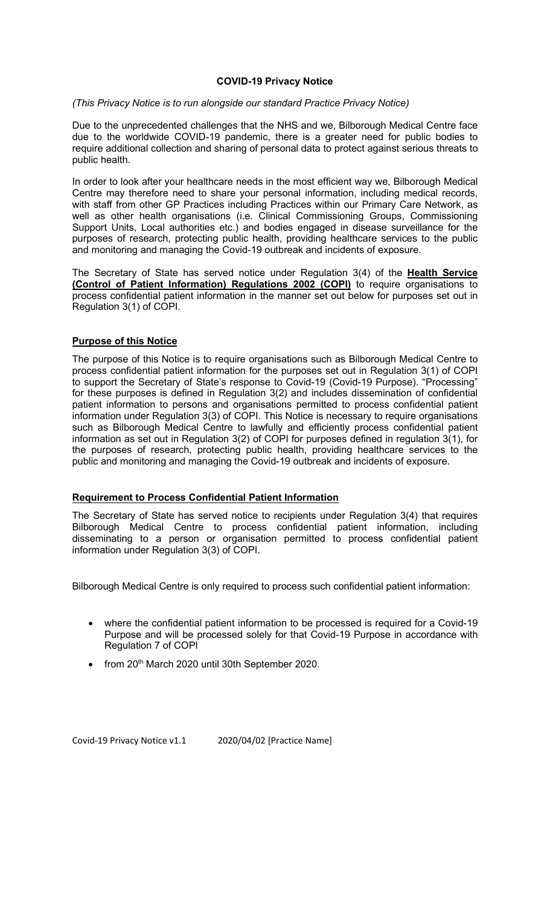## COVID-19 Privacy Notice

### (This Privacy Notice is to run alongside our standard Practice Privacy Notice)

Due to the unprecedented challenges that the NHS and we, Bilborough Medical Centre face due to the worldwide COVID-19 pandemic, there is a greater need for public bodies to require additional collection and sharing of personal data to protect against serious threats to public health.

In order to look after your healthcare needs in the most efficient way we, Bilborough Medical Centre may therefore need to share your personal information, including medical records, with staff from other GP Practices including Practices within our Primary Care Network, as well as other health organisations (i.e. Clinical Commissioning Groups, Commissioning Support Units, Local authorities etc.) and bodies engaged in disease surveillance for the purposes of research, protecting public health, providing healthcare services to the public and monitoring and managing the Covid-19 outbreak and incidents of exposure.

The Secretary of State has served notice under Regulation 3(4) of the Health Service (Control of Patient Information) Regulations 2002 (COPI) to require organisations to process confidential patient information in the manner set out below for purposes set out in Regulation 3(1) of COPI.

## Purpose of this Notice

The purpose of this Notice is to require organisations such as Bilborough Medical Centre to process confidential patient information for the purposes set out in Regulation 3(1) of COPI to support the Secretary of State's response to Covid-19 (Covid-19 Purpose). "Processing" for these purposes is defined in Regulation 3(2) and includes dissemination of confidential patient information to persons and organisations permitted to process confidential patient information under Regulation 3(3) of COPI. This Notice is necessary to require organisations such as Bilborough Medical Centre to lawfully and efficiently process confidential patient information as set out in Regulation 3(2) of COPI for purposes defined in regulation 3(1), for the purposes of research, protecting public health, providing healthcare services to the public and monitoring and managing the Covid-19 outbreak and incidents of exposure.

# Requirement to Process Confidential Patient Information

The Secretary of State has served notice to recipients under Regulation 3(4) that requires Bilborough Medical Centre to process confidential patient information, including disseminating to a person or organisation permitted to process confidential patient information under Regulation 3(3) of COPI.

Bilborough Medical Centre is only required to process such confidential patient information:

- where the confidential patient information to be processed is required for a Covid-19 Purpose and will be processed solely for that Covid-19 Purpose in accordance with Regulation 7 of COPI
- from 20<sup>th</sup> March 2020 until 30th September 2020.

Covid-19 Privacy Notice v1.1 2020/04/02 [Practice Name]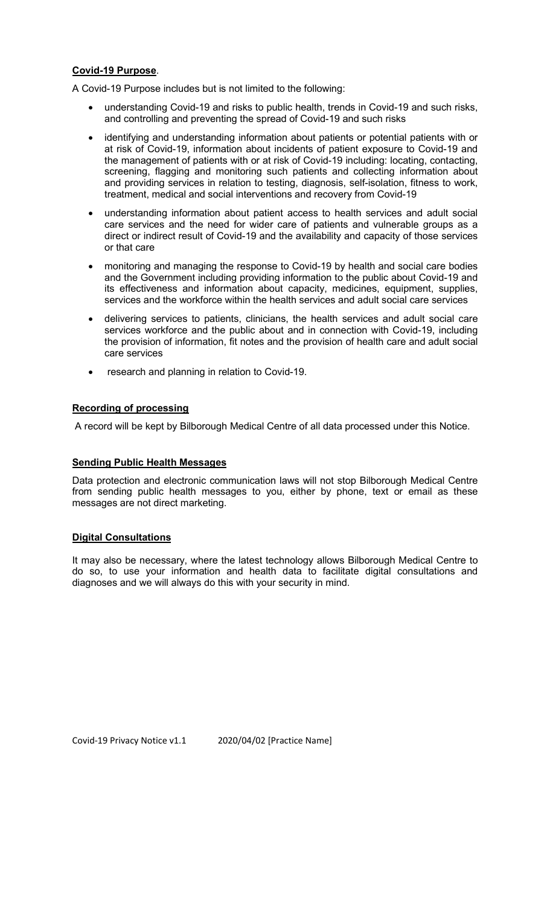## Covid-19 Purpose.

A Covid-19 Purpose includes but is not limited to the following:

- understanding Covid-19 and risks to public health, trends in Covid-19 and such risks, and controlling and preventing the spread of Covid-19 and such risks
- identifying and understanding information about patients or potential patients with or at risk of Covid-19, information about incidents of patient exposure to Covid-19 and the management of patients with or at risk of Covid-19 including: locating, contacting, screening, flagging and monitoring such patients and collecting information about and providing services in relation to testing, diagnosis, self-isolation, fitness to work, treatment, medical and social interventions and recovery from Covid-19
- understanding information about patient access to health services and adult social care services and the need for wider care of patients and vulnerable groups as a direct or indirect result of Covid-19 and the availability and capacity of those services or that care
- monitoring and managing the response to Covid-19 by health and social care bodies and the Government including providing information to the public about Covid-19 and its effectiveness and information about capacity, medicines, equipment, supplies, services and the workforce within the health services and adult social care services
- delivering services to patients, clinicians, the health services and adult social care services workforce and the public about and in connection with Covid-19, including the provision of information, fit notes and the provision of health care and adult social care services
- research and planning in relation to Covid-19.

# Recording of processing

A record will be kept by Bilborough Medical Centre of all data processed under this Notice.

### Sending Public Health Messages

Data protection and electronic communication laws will not stop Bilborough Medical Centre from sending public health messages to you, either by phone, text or email as these messages are not direct marketing.

### Digital Consultations

It may also be necessary, where the latest technology allows Bilborough Medical Centre to do so, to use your information and health data to facilitate digital consultations and diagnoses and we will always do this with your security in mind.

Covid-19 Privacy Notice v1.1 2020/04/02 [Practice Name]